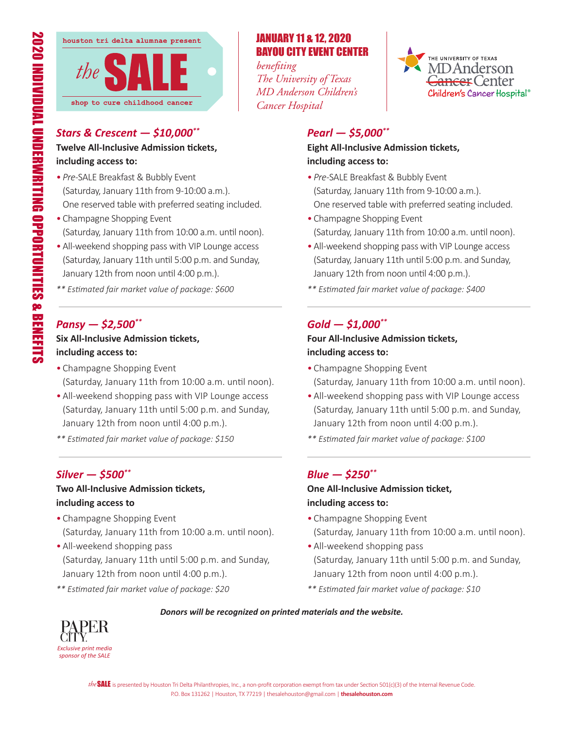

## *Stars & Crescent — \$10,000\*\**

#### **Twelve All-Inclusive Admission tickets, including access to:**

- *Pre*-SALE Breakfast & Bubbly Event (Saturday, January 11th from 9-10:00 a.m.). One reserved table with preferred seating included.
- Champagne Shopping Event (Saturday, January 11th from 10:00 a.m. until noon).
- •All-weekend shopping pass with VIP Lounge access (Saturday, January 11th until 5:00 p.m. and Sunday, January 12th from noon until 4:00 p.m.).
- *\*\* Estimated fair market value of package: \$600*

### *Pansy — \$2,500\*\**

## **Six All-Inclusive Admission tickets, including access to:**

- Champagne Shopping Event (Saturday, January 11th from 10:00 a.m. until noon).
- •All-weekend shopping pass with VIP Lounge access (Saturday, January 11th until 5:00 p.m. and Sunday, January 12th from noon until 4:00 p.m.).
- *\*\* Estimated fair market value of package: \$150*

## *Silver — \$500\*\**

### **Two All-Inclusive Admission tickets, including access to**

- Champagne Shopping Event (Saturday, January 11th from 10:00 a.m. until noon).
- •All-weekend shopping pass (Saturday, January 11th until 5:00 p.m. and Sunday, January 12th from noon until 4:00 p.m.).
- *\*\* Estimated fair market value of package: \$20*

# JANUARY 11 & 12, 2020 BAYOU CITY EVENT CENTER

*benefiting The University of Texas MD Anderson Children's Cancer Hospital*



## *Pearl — \$5,000\*\**

#### **Eight All-Inclusive Admission tickets, including access to:**

- *Pre-*SALE Breakfast & Bubbly Event (Saturday, January 11th from 9-10:00 a.m.). One reserved table with preferred seating included.
- Champagne Shopping Event (Saturday, January 11th from 10:00 a.m. until noon).
- •All-weekend shopping pass with VIP Lounge access (Saturday, January 11th until 5:00 p.m. and Sunday, January 12th from noon until 4:00 p.m.).
- *\*\* Estimated fair market value of package: \$400*

## *Gold — \$1,000\*\**

#### **Four All-Inclusive Admission tickets, including access to:**

- Champagne Shopping Event (Saturday, January 11th from 10:00 a.m. until noon).
- •All-weekend shopping pass with VIP Lounge access (Saturday, January 11th until 5:00 p.m. and Sunday, January 12th from noon until 4:00 p.m.).
- *\*\* Estimated fair market value of package: \$100*

## *Blue — \$250\*\**

### **One All-Inclusive Admission ticket, including access to:**

- Champagne Shopping Event (Saturday, January 11th from 10:00 a.m. until noon).
- •All-weekend shopping pass (Saturday, January 11th until 5:00 p.m. and Sunday, January 12th from noon until 4:00 p.m.).
- *\*\* Estimated fair market value of package: \$10*



#### *Donors will be recognized on printed materials and the website.*